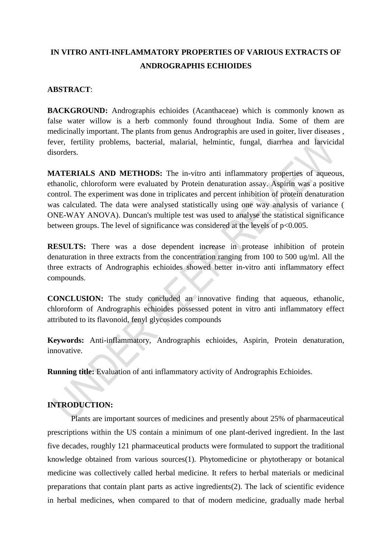# **IN VITRO ANTI-INFLAMMATORY PROPERTIES OF VARIOUS EXTRACTS OF ANDROGRAPHIS ECHIOIDES**

## **ABSTRACT**:

**BACKGROUND:** Andrographis echioides (Acanthaceae) which is commonly known as false water willow is a herb commonly found throughout India. Some of them are medicinally important. The plants from genus Andrographis are used in goiter, liver diseases , fever, fertility problems, bacterial, malarial, helmintic, fungal, diarrhea and larvicidal disorders.

**MATERIALS AND METHODS:** The in-vitro anti inflammatory properties of aqueous, ethanolic, chloroform were evaluated by Protein denaturation assay. Aspirin was a positive control. The experiment was done in triplicates and percent inhibition of protein denaturation was calculated. The data were analysed statistically using one way analysis of variance ( ONE-WAY ANOVA). Duncan's multiple test was used to analyse the statistical significance between groups. The level of significance was considered at the levels of  $p<0.005$ .

**RESULTS:** There was a dose dependent increase in protease inhibition of protein denaturation in three extracts from the concentration ranging from 100 to 500 ug/ml. All the three extracts of Andrographis echioides showed better in-vitro anti inflammatory effect compounds.

**CONCLUSION:** The study concluded an innovative finding that aqueous, ethanolic, chloroform of Andrographis echioides possessed potent in vitro anti inflammatory effect attributed to its flavonoid, fenyl glycosides compounds

**Keywords:** Anti-inflammatory, Andrographis echioides, Aspirin, Protein denaturation, innovative.

**Running title:** Evaluation of anti inflammatory activity of Andrographis Echioides.

## **INTRODUCTION:**

Plants are important sources of medicines and presently about 25% of pharmaceutical prescriptions within the US contain a minimum of one plant-derived ingredient. In the last five decades, roughly 121 pharmaceutical products were formulated to support the traditional knowledge obtained from various source[s\(1\).](https://paperpile.com/c/zCv6DS/Kaj1) Phytomedicine or phytotherapy or botanical medicine was collectively called herbal medicine. It refers to herbal materials or medicinal preparations that contain plant parts as active ingredient[s\(2\).](https://paperpile.com/c/zCv6DS/t8OS) The lack of scientific evidence in herbal medicines, when compared to that of modern medicine, gradually made herbal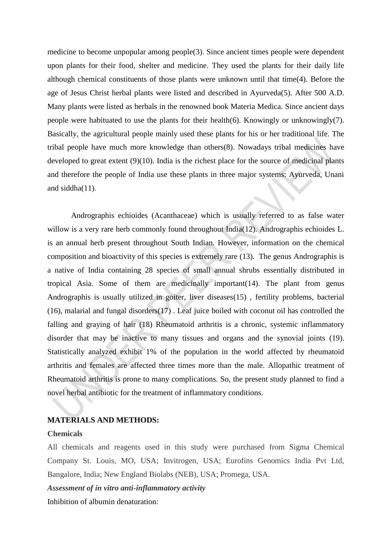medicine to become unpopular among peopl[e\(3\).](https://paperpile.com/c/zCv6DS/72GL) Since ancient times people were dependent upon plants for their food, shelter and medicine. They used the plants for their daily life although chemical constituents of those plants were unknown until that tim[e\(4\).](https://paperpile.com/c/zCv6DS/Icrp) Before the age of Jesus Christ herbal plants were listed and described in Ayurved[a\(5\).](https://paperpile.com/c/zCv6DS/zzPA) After 500 A.D. Many plants were listed as herbals in the renowned book Materia Medica. Since ancient days people were habituated to use the plants for their healt[h\(6\).](https://paperpile.com/c/zCv6DS/EqmS) Knowingly or unknowingl[y\(7\).](https://paperpile.com/c/zCv6DS/IZJp) Basically, the agricultural people mainly used these plants for his or her traditional life. The tribal people have much more knowledge than other[s\(8\).](https://paperpile.com/c/zCv6DS/r2XU) Nowadays tribal medicines have developed to great extent [\(9\)\(10\).](https://paperpile.com/c/zCv6DS/UvG7) India is the richest place for the source of medicinal plants and therefore the people of India use these plants in three major systems: Ayurveda, Unani and siddh[a\(11\).](https://paperpile.com/c/zCv6DS/gezL)

Andrographis echioides (Acanthaceae) which is usually referred to as false water willow is a very rare herb commonly found throughout Indi[a\(12\).](https://paperpile.com/c/zCv6DS/HdGh) Andrographis echioides L. is an annual herb present throughout South Indian. However, information on the chemical composition and bioactivity of this species is extremely rare [\(13\).](https://paperpile.com/c/zCv6DS/Wi5e) The genus Andrographis is a native of India containing 28 species of small annual shrubs essentially distributed in tropical Asia. Some of them are medicinally importan[t\(14\).](https://paperpile.com/c/zCv6DS/6R04) The plant from genus Andrographis is usually utilized in goiter, liver disease[s\(15\)](https://paperpile.com/c/zCv6DS/W2c2) , fertility problems, bacterial [\(16\),](https://paperpile.com/c/zCv6DS/kmw8) malarial and fungal disorder[s\(17\)](https://paperpile.com/c/zCv6DS/mGjU) . Leaf juice boiled with coconut oil has controlled the falling and graying of hair [\(18\)](https://paperpile.com/c/zCv6DS/9Tdy) Rheumatoid arthritis is a chronic, systemic inflammatory disorder that may be inactive to many tissues and organs and the synovial joints [\(19\).](https://paperpile.com/c/zCv6DS/MvNC) Statistically analyzed exhibit 1% of the population in the world affected by rheumatoid arthritis and females are affected three times more than the male. Allopathic treatment of Rheumatoid arthritis is prone to many complications. So, the present study planned to find a novel herbal antibiotic for the treatment of inflammatory conditions.

## **MATERIALS AND METHODS:**

#### **Chemicals**

All chemicals and reagents used in this study were purchased from Sigma Chemical Company St. Louis, MO, USA; Invitrogen, USA; Eurofins Genomics India Pvt Ltd, Bangalore, India; New England Biolabs (NEB), USA; Promega, USA.

*Assessment of in vitro anti-inflammatory activity*

Inhibition of albumin denaturation: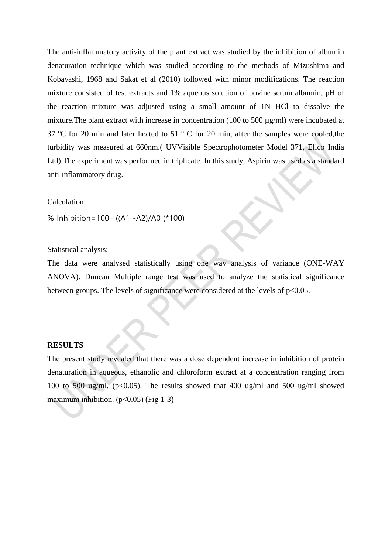The anti-inflammatory activity of the plant extract was studied by the inhibition of albumin denaturation technique which was studied according to the methods of Mizushima and Kobayashi, 1968 and Sakat et al (2010) followed with minor modifications. The reaction mixture consisted of test extracts and 1% aqueous solution of bovine serum albumin, pH of the reaction mixture was adjusted using a small amount of 1N HCl to dissolve the mixture. The plant extract with increase in concentration (100 to 500  $\mu$ g/ml) were incubated at 37 ºC for 20 min and later heated to 51 º C for 20 min, after the samples were cooled,the turbidity was measured at 660nm.( UVVisible Spectrophotometer Model 371, Elico India Ltd) The experiment was performed in triplicate. In this study, Aspirin was used as a standard anti-inflammatory drug.

#### Calculation:

% Inhibition=100−((A1 -A2)/A0 )\*100)

#### Statistical analysis:

The data were analysed statistically using one way analysis of variance (ONE-WAY ANOVA). Duncan Multiple range test was used to analyze the statistical significance between groups. The levels of significance were considered at the levels of  $p<0.05$ .

#### **RESULTS**

The present study revealed that there was a dose dependent increase in inhibition of protein denaturation in aqueous, ethanolic and chloroform extract at a concentration ranging from 100 to 500 ug/ml. ( $p<0.05$ ). The results showed that 400 ug/ml and 500 ug/ml showed maximum inhibition.  $(p<0.05)$  (Fig 1-3)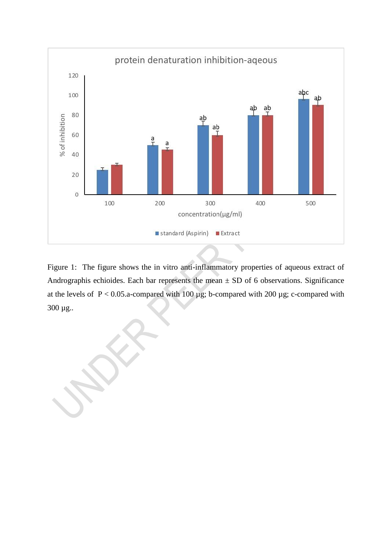

Figure 1: The figure shows the in vitro anti-inflammatory properties of aqueous extract of Andrographis echioides. Each bar represents the mean  $\pm$  SD of 6 observations. Significance at the levels of  $P < 0.05$ .a-compared with 100  $\mu$ g; b-compared with 200  $\mu$ g; c-compared with 300 µg..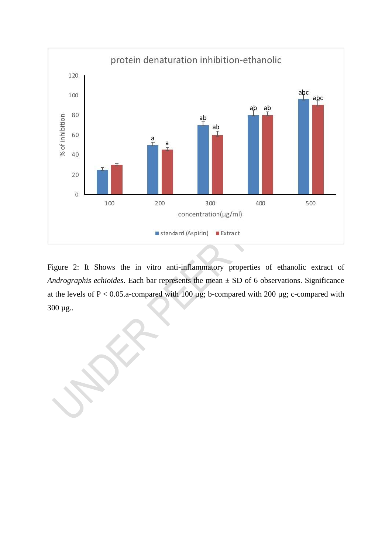

Figure 2: It Shows the in vitro anti-inflammatory properties of ethanolic extract of *Andrographis echioides*. Each bar represents the mean ± SD of 6 observations. Significance at the levels of  $P < 0.05$ .a-compared with 100  $\mu$ g; b-compared with 200  $\mu$ g; c-compared with 300 µg..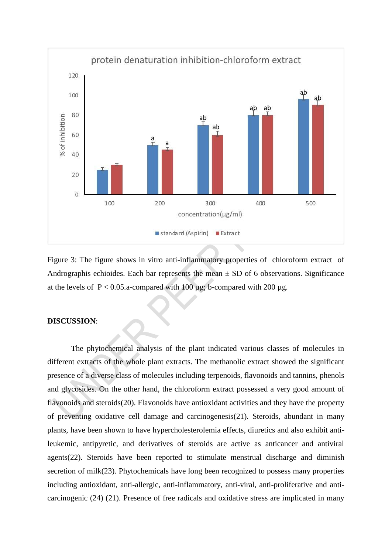

Figure 3: The figure shows in vitro anti-inflammatory properties of chloroform extract of Andrographis echioides. Each bar represents the mean  $\pm$  SD of 6 observations. Significance at the levels of  $P < 0.05$ . a-compared with 100 µg; b-compared with 200 µg.

## **DISCUSSION**:

The phytochemical analysis of the plant indicated various classes of molecules in different extracts of the whole plant extracts. The methanolic extract showed the significant presence of a diverse class of molecules including terpenoids, flavonoids and tannins, phenols and glycosides. On the other hand, the chloroform extract possessed a very good amount of flavonoids and steroid[s\(20\).](https://paperpile.com/c/zCv6DS/X2v7) Flavonoids have antioxidant activities and they have the property of preventing oxidative cell damage and carcinogenesi[s\(21\).](https://paperpile.com/c/zCv6DS/7yyG) Steroids, abundant in many plants, have been shown to have hypercholesterolemia effects, diuretics and also exhibit antileukemic, antipyretic, and derivatives of steroids are active as anticancer and antiviral agent[s\(22\).](https://paperpile.com/c/zCv6DS/iMQg) Steroids have been reported to stimulate menstrual discharge and diminish secretion of mil[k\(23\).](https://paperpile.com/c/zCv6DS/ORuy) Phytochemicals have long been recognized to possess many properties including antioxidant, anti-allergic, anti-inflammatory, anti-viral, anti-proliferative and anticarcinogenic [\(24\)](https://paperpile.com/c/zCv6DS/CmuI) [\(21\).](https://paperpile.com/c/zCv6DS/7yyG) Presence of free radicals and oxidative stress are implicated in many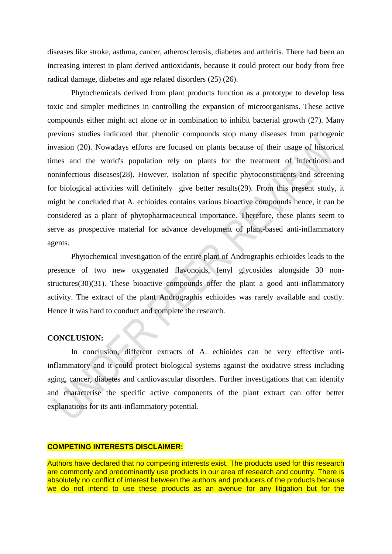diseases like stroke, asthma, cancer, atherosclerosis, diabetes and arthritis. There had been an increasing interest in plant derived antioxidants, because it could protect our body from free radical damage, diabetes and age related disorders [\(25\)](https://paperpile.com/c/zCv6DS/2gso) [\(26\).](https://paperpile.com/c/zCv6DS/4Oz4)

Phytochemicals derived from plant products function as a prototype to develop less toxic and simpler medicines in controlling the expansion of microorganisms. These active compounds either might act alone or in combination to inhibit bacterial growth [\(27\).](https://paperpile.com/c/zCv6DS/pkIj) Many previous studies indicated that phenolic compounds stop many diseases from pathogenic invasion [\(20\).](https://paperpile.com/c/zCv6DS/X2v7) Nowadays efforts are focused on plants because of their usage of historical times and the world's population rely on plants for the treatment of infections and noninfectious disease[s\(28\).](https://paperpile.com/c/zCv6DS/G1kN) However, isolation of specific phytoconstituents and screening for biological activities will definitely give better result[s\(29\).](https://paperpile.com/c/zCv6DS/fC9B) From this present study, it might be concluded that A. echioides contains various bioactive compounds hence, it can be considered as a plant of phytopharmaceutical importance. Therefore, these plants seem to serve as prospective material for advance development of plant-based anti-inflammatory agents.

Phytochemical investigation of the entire plant of Andrographis echioides leads to the presence of two new oxygenated flavonoids, fenyl glycosides alongside 30 nonstructure[s\(30\)\(31\).](https://paperpile.com/c/zCv6DS/RWgt) These bioactive compounds offer the plant a good anti-inflammatory activity. The extract of the plant Andrographis echioides was rarely available and costly. Hence it was hard to conduct and complete the research.

## **CONCLUSION:**

In conclusion, different extracts of A. echioides can be very effective antiinflammatory and it could protect biological systems against the oxidative stress including aging, cancer, diabetes and cardiovascular disorders. Further investigations that can identify and characterise the specific active components of the plant extract can offer better explanations for its anti-inflammatory potential.

#### **COMPETING INTERESTS DISCLAIMER:**

Authors have declared that no competing interests exist. The products used for this research are commonly and predominantly use products in our area of research and country. There is absolutely no conflict of interest between the authors and producers of the products because we do not intend to use these products as an avenue for any litigation but for the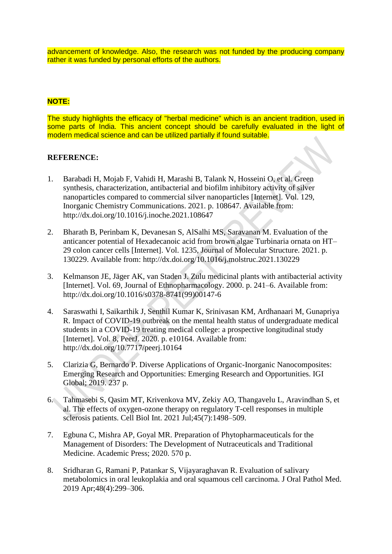advancement of knowledge. Also, the research was not funded by the producing company rather it was funded by personal efforts of the authors.

## **NOTE:**

The study highlights the efficacy of "herbal medicine" which is an ancient tradition, used in some parts of India. This ancient concept should be carefully evaluated in the light of modern medical science and can be utilized partially if found suitable.

## **REFERENCE:**

- 1. [Barabadi H, Mojab F, Vahidi H, Marashi B, Talank N, Hosseini O, et al. Green](http://paperpile.com/b/zCv6DS/Kaj1)  [synthesis, characterization, antibacterial and biofilm inhibitory activity of silver](http://paperpile.com/b/zCv6DS/Kaj1)  [nanoparticles compared to commercial silver nanoparticles \[Internet\]. Vol. 129,](http://paperpile.com/b/zCv6DS/Kaj1)  [Inorganic Chemistry Communications. 2021. p. 108647. Available from:](http://paperpile.com/b/zCv6DS/Kaj1)  [http://dx.doi.org/10.1016/j.inoche.2021.108647](http://paperpile.com/b/zCv6DS/Kaj1)
- 2. [Bharath B, Perinbam K, Devanesan S, AlSalhi MS, Saravanan M. Evaluation of the](http://paperpile.com/b/zCv6DS/t8OS)  [anticancer potential of Hexadecanoic acid from brown algae Turbinaria ornata on HT–](http://paperpile.com/b/zCv6DS/t8OS) [29 colon cancer cells \[Internet\]. Vol. 1235, Journal of Molecular Structure. 2021. p.](http://paperpile.com/b/zCv6DS/t8OS)  [130229. Available from: http://dx.doi.org/10.1016/j.molstruc.2021.130229](http://paperpile.com/b/zCv6DS/t8OS)
- 3. [Kelmanson JE, Jäger AK, van Staden J. Zulu medicinal plants with antibacterial activity](http://paperpile.com/b/zCv6DS/72GL)  [\[Internet\]. Vol. 69, Journal of Ethnopharmacology. 2000. p. 241–6. Available from:](http://paperpile.com/b/zCv6DS/72GL)  [http://dx.doi.org/10.1016/s0378-8741\(99\)00147-6](http://paperpile.com/b/zCv6DS/72GL)
- 4. [Saraswathi I, Saikarthik J, Senthil Kumar K, Srinivasan KM, Ardhanaari M, Gunapriya](http://paperpile.com/b/zCv6DS/Icrp)  [R. Impact of COVID-19 outbreak on the mental health status of undergraduate medical](http://paperpile.com/b/zCv6DS/Icrp)  [students in a COVID-19 treating medical college: a prospective longitudinal study](http://paperpile.com/b/zCv6DS/Icrp)  [\[Internet\]. Vol. 8, PeerJ. 2020. p. e10164. Available from:](http://paperpile.com/b/zCv6DS/Icrp)  [http://dx.doi.org/10.7717/peerj.10164](http://paperpile.com/b/zCv6DS/Icrp)
- 5. [Clarizia G, Bernardo P. Diverse Applications of Organic-Inorganic Nanocomposites:](http://paperpile.com/b/zCv6DS/zzPA)  [Emerging Research and Opportunities: Emerging Research and Opportunities. IGI](http://paperpile.com/b/zCv6DS/zzPA)  [Global; 2019. 237 p.](http://paperpile.com/b/zCv6DS/zzPA)
- 6. [Tahmasebi S, Qasim MT, Krivenkova MV, Zekiy AO, Thangavelu L, Aravindhan S, et](http://paperpile.com/b/zCv6DS/EqmS)  [al. The effects of oxygen-ozone therapy on regulatory T-cell responses in multiple](http://paperpile.com/b/zCv6DS/EqmS)  [sclerosis patients. Cell Biol Int. 2021 Jul;45\(7\):1498–509.](http://paperpile.com/b/zCv6DS/EqmS)
- 7. [Egbuna C, Mishra AP, Goyal MR. Preparation of Phytopharmaceuticals for the](http://paperpile.com/b/zCv6DS/IZJp)  [Management of Disorders: The Development of Nutraceuticals and Traditional](http://paperpile.com/b/zCv6DS/IZJp)  [Medicine. Academic Press; 2020. 570 p.](http://paperpile.com/b/zCv6DS/IZJp)
- 8. [Sridharan G, Ramani P, Patankar S, Vijayaraghavan R. Evaluation of salivary](http://paperpile.com/b/zCv6DS/r2XU)  [metabolomics in oral leukoplakia and oral squamous cell carcinoma. J Oral Pathol Med.](http://paperpile.com/b/zCv6DS/r2XU)  [2019 Apr;48\(4\):299–306.](http://paperpile.com/b/zCv6DS/r2XU)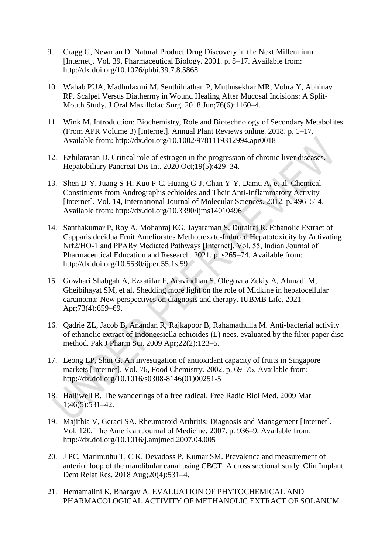- 9. [Cragg G, Newman D. Natural Product Drug Discovery in the Next Millennium](http://paperpile.com/b/zCv6DS/UvG7)  [\[Internet\]. Vol. 39, Pharmaceutical Biology. 2001. p. 8–17. Available from:](http://paperpile.com/b/zCv6DS/UvG7)  [http://dx.doi.org/10.1076/phbi.39.7.8.5868](http://paperpile.com/b/zCv6DS/UvG7)
- 10. [Wahab PUA, Madhulaxmi M, Senthilnathan P, Muthusekhar MR, Vohra Y, Abhinav](http://paperpile.com/b/zCv6DS/tsmL)  [RP. Scalpel Versus Diathermy in Wound Healing After Mucosal Incisions: A Split-](http://paperpile.com/b/zCv6DS/tsmL)[Mouth Study. J Oral Maxillofac Surg. 2018 Jun;76\(6\):1160–4.](http://paperpile.com/b/zCv6DS/tsmL)
- 11. [Wink M. Introduction: Biochemistry, Role and Biotechnology of Secondary Metabolites](http://paperpile.com/b/zCv6DS/gezL)  [\(From APR Volume 3\) \[Internet\]. Annual Plant Reviews online. 2018. p. 1–17.](http://paperpile.com/b/zCv6DS/gezL)  [Available from: http://dx.doi.org/10.1002/9781119312994.apr0018](http://paperpile.com/b/zCv6DS/gezL)
- 12. [Ezhilarasan D. Critical role of estrogen in the progression of chronic liver diseases.](http://paperpile.com/b/zCv6DS/HdGh)  [Hepatobiliary Pancreat Dis Int. 2020 Oct;19\(5\):429–34.](http://paperpile.com/b/zCv6DS/HdGh)
- 13. [Shen D-Y, Juang S-H, Kuo P-C, Huang G-J, Chan Y-Y, Damu A, et al. Chemical](http://paperpile.com/b/zCv6DS/Wi5e)  [Constituents from Andrographis echioides and Their Anti-Inflammatory Activity](http://paperpile.com/b/zCv6DS/Wi5e)  [Internet]. Vol. 14, [International Journal of Molecular Sciences. 2012. p. 496–514.](http://paperpile.com/b/zCv6DS/Wi5e)  [Available from: http://dx.doi.org/10.3390/ijms14010496](http://paperpile.com/b/zCv6DS/Wi5e)
- 14. [Santhakumar P, Roy A, Mohanraj KG, Jayaraman S, Durairaj R. Ethanolic Extract of](http://paperpile.com/b/zCv6DS/6R04)  [Capparis decidua Fruit Ameliorates Methotrexate-Induced Hepatotoxicity by Activating](http://paperpile.com/b/zCv6DS/6R04)  [Nrf2/HO-1 and PPARγ Mediated Pathways \[Internet\]. Vol. 55, Indian Journal of](http://paperpile.com/b/zCv6DS/6R04)  [Pharmaceutical Education and Research. 2021. p. s265–74. Available from:](http://paperpile.com/b/zCv6DS/6R04)  [http://dx.doi.org/10.5530/ijper.55.1s.59](http://paperpile.com/b/zCv6DS/6R04)
- 15. [Gowhari Shabgah A, Ezzatifar F, Aravindhan S, Olegovna Zekiy A, Ahmadi M,](http://paperpile.com/b/zCv6DS/W2c2)  [Gheibihayat SM, et al. Shedding more light on the role of Midkine in hepatocellular](http://paperpile.com/b/zCv6DS/W2c2)  [carcinoma: New perspectives on diagnosis and therapy. IUBMB Life. 2021](http://paperpile.com/b/zCv6DS/W2c2)  [Apr;73\(4\):659–69.](http://paperpile.com/b/zCv6DS/W2c2)
- 16. Qadrie ZL, Jacob [B, Anandan R, Rajkapoor B, Rahamathulla M. Anti-bacterial activity](http://paperpile.com/b/zCv6DS/kmw8)  [of ethanolic extract of Indoneesiella echioides \(L\) nees. evaluated by the filter paper disc](http://paperpile.com/b/zCv6DS/kmw8)  [method. Pak J Pharm Sci. 2009 Apr;22\(2\):123–5.](http://paperpile.com/b/zCv6DS/kmw8)
- 17. [Leong LP, Shui G. An investigation of antioxidant capacity of fruits in Singapore](http://paperpile.com/b/zCv6DS/mGjU)  [markets \[Internet\]. Vol. 76, Food Chemistry. 2002. p. 69–75. Available from:](http://paperpile.com/b/zCv6DS/mGjU)  [http://dx.doi.org/10.1016/s0308-8146\(01\)00251-5](http://paperpile.com/b/zCv6DS/mGjU)
- 18. [Halliwell B. The wanderings of a free radical. Free Radic Biol Med. 2009 Mar](http://paperpile.com/b/zCv6DS/9Tdy)  [1;46\(5\):531–42.](http://paperpile.com/b/zCv6DS/9Tdy)
- 19. [Majithia V, Geraci SA. Rheumatoid Arthritis: Diagnosis and Management \[Internet\].](http://paperpile.com/b/zCv6DS/MvNC)  [Vol. 120, The American Journal of Medicine. 2007. p. 936–9. Available from:](http://paperpile.com/b/zCv6DS/MvNC)  [http://dx.doi.org/10.1016/j.amjmed.2007.04.005](http://paperpile.com/b/zCv6DS/MvNC)
- 20. [J PC, Marimuthu T, C K, Devadoss P, Kumar SM. Prevalence and measurement of](http://paperpile.com/b/zCv6DS/X2v7)  [anterior loop of the mandibular canal using CBCT: A cross sectional study. Clin Implant](http://paperpile.com/b/zCv6DS/X2v7)  [Dent Relat Res. 2018 Aug;20\(4\):531–4.](http://paperpile.com/b/zCv6DS/X2v7)
- 21. [Hemamalini K, Bhargav A. EVALUATION OF PHYTOCHEMICAL AND](http://paperpile.com/b/zCv6DS/7yyG)  [PHARMACOLOGICAL ACTIVITY OF METHANOLIC EXTRACT OF SOLANUM](http://paperpile.com/b/zCv6DS/7yyG)